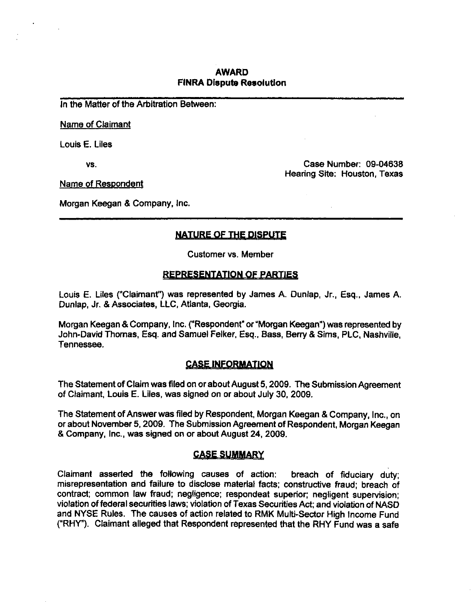## **AWARD FINRA Dispute Resolution**

in the Matter of the Arbitration Between:

Name of Claimant

Louis E. Liies

vs.

Case Number: 09-04638 Hearing Site: Houston, Texas

Name of Respondent

Morgan Keegan & Company, inc.

## **NATURE OF THE DISPUTE**

Customer vs. Member

### **REPRESENTATION OF PARTIES**

Louis E. Liles ("Claimant") was represented by James A. Dunlap, Jr., Esq., James A. Dunlap, Jr. & Associates, LLC, Atlanta, Georgia.

Morgan Keegan & Company, Inc. ("Respondent" or "Morgan Keegan") was represented by John-David Thomas, Esq. and Samuel Felker, Esq., Bass, Berry & Sims, PLC, Nashville, Tennessee.

### **CASe INFORMATION**

The Statement of Claim was filed on or about August 5,2009. The Submission Agreement of Claimant, Louis E. Liles, was signed on or about July 30, 2009.

The Statement of Answer was filed by Respondent, Morgan Keegan & Company, Inc., on or about November 5,2009. The Submission Agreement of Respondent, Morgan Keegan & Company, Inc., was signed on or about August 24, 2009.

### **CASE SUMMARY**

Claimant asserted the following causes of action: breach of fiduciary duty; misrepresentation and failure to disclose material facts; constructive fraud; breach of contract; common law fraud; negligence; respondeat superior; negligent supervision; violation of federal securities laws; violation of Texas Securities Act; and violation of NASD and NYSE Rules. The causes of action related to RMK Multi-Sector High Income Fund ("RHY"). Claimant alleged that Respondent represented that the RHY Fund was a safe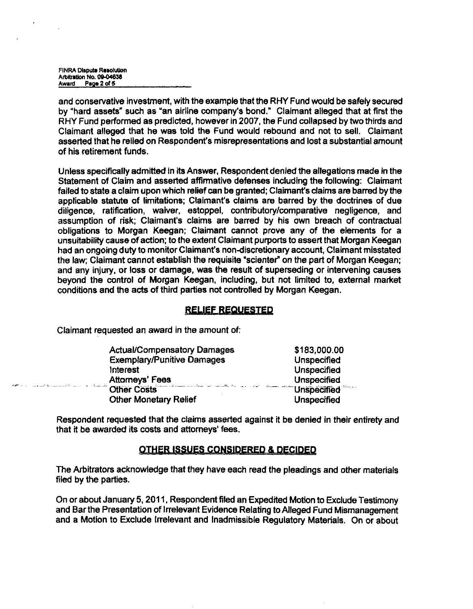FINRA Dispute Resolution Arbitration No. 09-04638 Award Pape 2 of 5

and conservative investment, with the example that the RHY Fund would be safely secured by "hard assets" such as "an airline company's bond." Claimant alleged that at first the RHY Fund performed as predicted, however in 2007, the Fund collapsed by two thirds and Claimant alleged that he was told the Fund would rebound and not to sell. Claimant asserted that he relied on Respondent's misrepresentations and lost a substantial amount of his retirement funds.

Unless specifically admitted In its Answer, Respondent denied the allegations made in the Statement of Claim and asserted affinnative defenses including the following: Claimant failed to state a claim upon which relief can be granted; Claimant's claims are barred by the applicable statute of limitations; Claimant's claims are barred by the doctrines of due diligence, ratification, waiver, estoppel, contributory/comparative negligence, and assumption of risk; Claimant's claims are barred by his own breach of contractual obligations to Morgan Keegan; Claimant cannot prove any of the elements for a unsuitability cause of action; to the extent Claimant purports to assert that Morgan Keegan had an ongoing duty to monitor Claimant's non-discretionary account. Claimant misstated the law; Claimant cannot establish the requisite "scienter" on the part of Morgan Keegan; and any injury, or loss or damage, was the result of superseding or intervening causes beyond the control of Morgan Keegan, including, but not limited to, external market conditions and the acts of third parties not controlled by Morgan Keegan.

### **RELIEF REQUESTED**

Claimant requested an award in the amount of:

|                       | <b>Actual/Compensatory Damages</b> | \$183,000.00       |
|-----------------------|------------------------------------|--------------------|
|                       | <b>Exemplary/Punitive Damages</b>  | Unspecified        |
| interest              |                                    | <b>Unspecified</b> |
| <b>Attomeys' Fees</b> |                                    | <b>Unspecified</b> |
| Cher Costs            | <b>Unspecified</b>                 |                    |
|                       | <b>Other Monetary Relief</b>       | <b>Unspecified</b> |

Respondent requested that the claims asserted against it be denied in their entirety and that it be awarded its costs and attomeys' fees.

### **OTHER ISSUES CONSIDERED & DECIDED**

The Arbitrators acknowledge that they have each read the pleadings and other materials filed by the parties.

On or about January 5,2011. Respondent filed an Expedited Motion to Exclude Testimony and Bar the Presentation of Irrelevant Evidence Relating to Alleged Fund Mismanagement and a Motion to Exclude Irrelevant and Inadmissible Regulatory Materials. On or about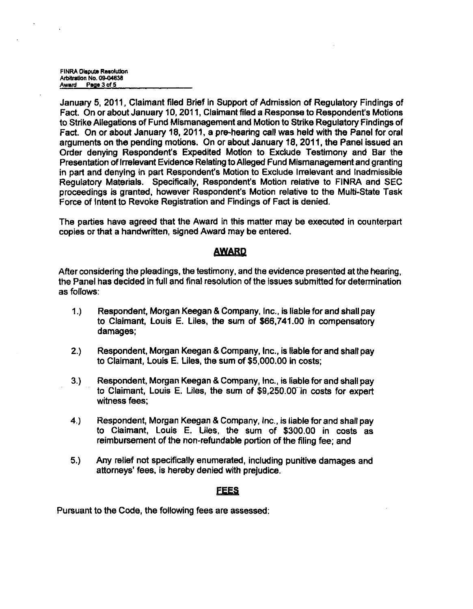FINRA Dispute Resolution Arbitration No. 09-04638 Award Page 3 of 5

January 5, 2011. Claimant filed Brief in Support of Admission of Regulatory Findings of Fact. On or about January 10,2011, Claimant filed a Response to Respondent's Motions to Strike Allegations of Fund Mismanagement and Motion to Strike Regulatory Findings of Fact. On or about January 18, 2011, a pre-hearing call was held with the Panel for oral arguments on the pending motions. On or about January 18, 2011, the Panel issued an Order denying Respondent's Expedited Motion to Exclude Testimony and Bar the Presentation of Irrelevant Evidence Relating to Alleged Fund Mismanagement and granting in part and denying in part Respondent's Motion to Exclude Irrelevant and Inadmissible Regulatory Materials. Specifically, Respondent's Motion relative to FINRA and SEC proceedings is granted, however Respondent's Motion relative to the Multi-State Task Force of Intent to Revoke Registration and Findings of Fact is denied.

The parties have agreed that the Award in this matter may be executed in counterpart copies or that a handwritten, signed Award may be entered.

### **AWARD**

After considering the pleadings, the testimony, and the evidence presented at the hearing, the Panel has decided in full and final resolution of the issues submitted for detennination as follows:

- 1. ) Respondent, Morgan Keegan & Company, Inc., is liable for and shall pay to Claimant, Louis E. Liles, the sum of \$66,741.00 in compensatory damages;
- 2. ) Respondent, Morgan Keegan & Company, Inc., is liable for and shall pay to Claimant, Louis E. Liles, the sum of \$5,000.00 in costs;
- 3. ) Respondent, Morgan Keegan & Company, Inc., is liable for and shall pay to Claimant, Louis E. Liles, the sum of \$9,250.00" in costs for expert witness fees;
- 4. ) Respondent, Morgan Keegan & Company, Inc., is liable for and shall pay to Claimant, Louis E. Liles, the sum of \$300.00 in costs as reimbursement of the non-refundable portion of the filing fee; and
- 5. ) Any relief not specifically enumerated, including punitive damages and attorneys' fees, is hereby denied with prejudice.

# **FEES**

Pursuant to the Code, the following fees are assessed: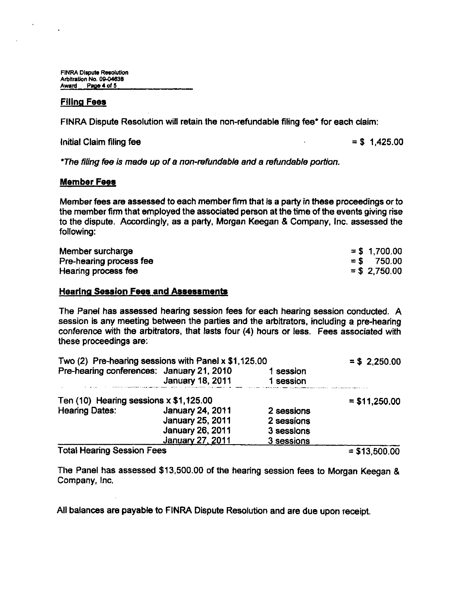FINRA Dispute Resolution Arbitration No. 09-04638 Award Page 4 of 5

#### **Filing Fees**

 $\cdot$ 

FINRA Dispute Resolution will retain the non-refundable filing fee\* for each claim:

 $\frac{1}{100}$  Initial Claim filing fee  $\frac{1}{100}$  sets and the sets and the sets are sets as  $\frac{1}{100}$  sets and the sets are sets as  $\frac{1}{100}$  sets and the sets are sets as  $\frac{1}{100}$  sets as  $\frac{1}{100}$  sets as  $\frac{1$ 

**\*Ti^e filing fee is made up of a non-refundable and a refundable portion.** 

#### **Member Fees**

Member fees are assessed to each member finn that is a party in these proceedings or to the member firm that employed the associated person at the time of the events giving rise to the dispute. Accordingly, as a party, Morgan Keegan & Company, Inc. assessed the following:

| Member surcharge        | $= $ 1,700.00$  |
|-------------------------|-----------------|
| Pre-hearing process fee | $=$ \$ 750.00   |
| Hearing process fee     | $=$ \$ 2.750.00 |

### **Hearing Session Fees and Assessments**

The Panel has assessed hearing session fees for each hearing session conducted. A session is any meeting between the parties and the arbitrators, including a pre-hearing conference with the arbitrators, that lasts four (4) hours or less. Fees associated with these proceedings are:

| Two $(2)$ Pre-hearing sessions with Panel x \$1,125.00 |                         |            | $= $2,250.00$  |
|--------------------------------------------------------|-------------------------|------------|----------------|
| Pre-hearing conferences: January 21, 2010              |                         | 1 session  |                |
|                                                        | <b>January 18, 2011</b> | 1 session  |                |
| Ten $(10)$ Hearing sessions $x$ \$1,125.00             |                         |            | $= $11,250.00$ |
| <b>Hearing Dates:</b>                                  | January 24, 2011        | 2 sessions |                |
|                                                        | January 25, 2011        | 2 sessions |                |
|                                                        | January 26, 2011        | 3 sessions |                |
|                                                        | January 27, 2011        | 3 sessions |                |
| <b>Total Hearing Session Fees</b>                      |                         |            | $= $13,500.00$ |

The Panel has assessed \$13,500.00 of the hearing session fees to Morgan Keegan & Company, Inc.

All balances are payable to FINRA Dispute Resolution and are due upon receipt.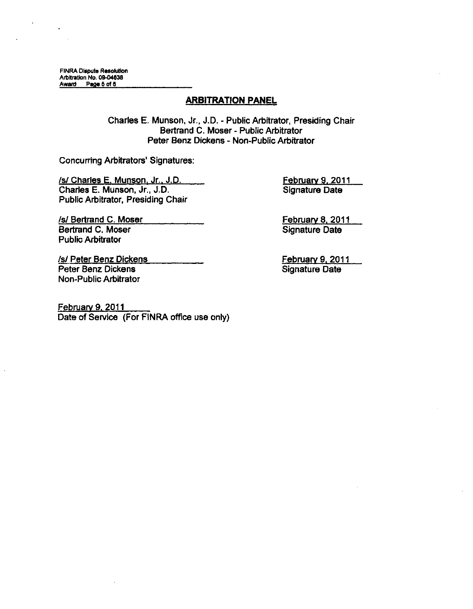FINRA Dispute Resolution Arbitration No. 09-04638 Award Page 5 of 5

### **ARBITRATION PANEL**

Charles E. Munson, Jr., J.D. - Public Arbitrator, Presiding Chair Bertrand C. Moser - Public Arbitrator Peter Benz Dickens - Non-Public Arbitrator

Concurring Arbitrators' Signatures:

/s/ Charles E. Munson. Jr.. J.D. Charles E. Munson, Jr., J.D. Public Arbitrator, Presiding Chair

Signature Date

February 9. 2011

/s/ Bertrand C. Moser Bertrand C. Moser Public Arbitrator

February 8. 2011 Signature Date

February 9. 2011 Signature Date

/s/ Peter Benz Dickens Peter Benz Dickens Non-Public Arbitrator

February 9. 2011 Date of Service (For FINRA office use only)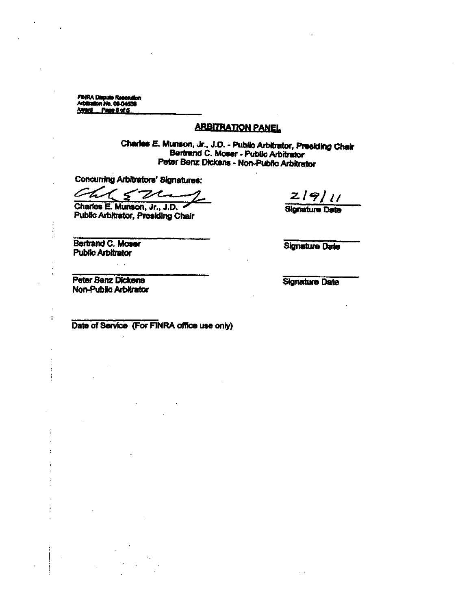**FINRA Dispute Resolution**<br>Arbitration No. 09-04838 Award Page 8 of 5

# **ARBITRATION PANEL**

Charles E. Munson, Jr., J.D. - Public Arbitrator, Presiding Chair Bertrand C. Moser - Public Arbitrator Peter Benz Dickens - Non-Public Arbitrator

Concurring Arbitrators' Signatures:

 $\tau$   $\varsigma$ Chi 7cm

Charles E. Munson, Jr., J.D. Public Arbitrator, Presiding Chair

 $2|9|11$ 

**Signature Date** 

Bertrand C. Moser **Public Arbitrator** 

 $\ddot{\cdot}$  $\ddot{\cdot}$ 

 $\mathbf{i}$ 

 $\mathbf{I}$ 

÷

**Signature Date** 

**Peter Benz Dickens** Non-Public Arbitrator

 $\mathcal{L}^{\mathcal{L}}$  .

**Signature Date** 

Date of Service (For FINRA office use only)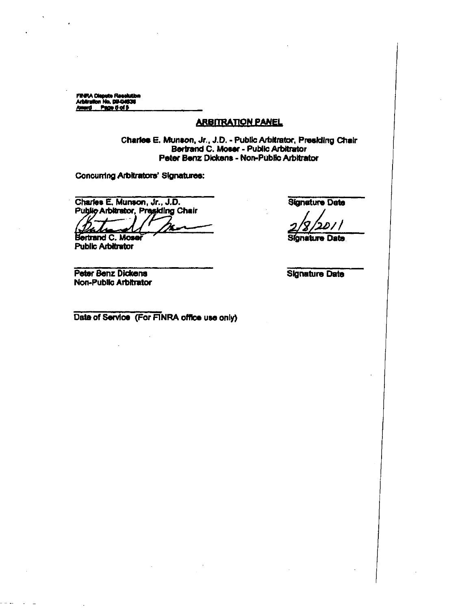FiNRA Dispute Resolutio<br>Arbitration No. 09-04636 Page 0 of 8 Amerd

### **ARBITRATION PANEL**

Charles E. Munson, Jr., J.D. - Public Arbitrator, Presiding Chair<br>Bertrand C. Moser - Public Arbitrator Peter Benz Dickens - Non-Public Arbitrator

Concurring Arbitrators' Signatures:

Charles E. Munson, Jr., J.D. Public Arbitrator, Presiding Chair

Bertrand C. Mose **Public Arbitrator** 

Peter Benz Dickens Non-Public Arbitrator **Signature Date** 

**Signature Date** 

**Signature Date** 

Date of Service (For FINRA office use only)